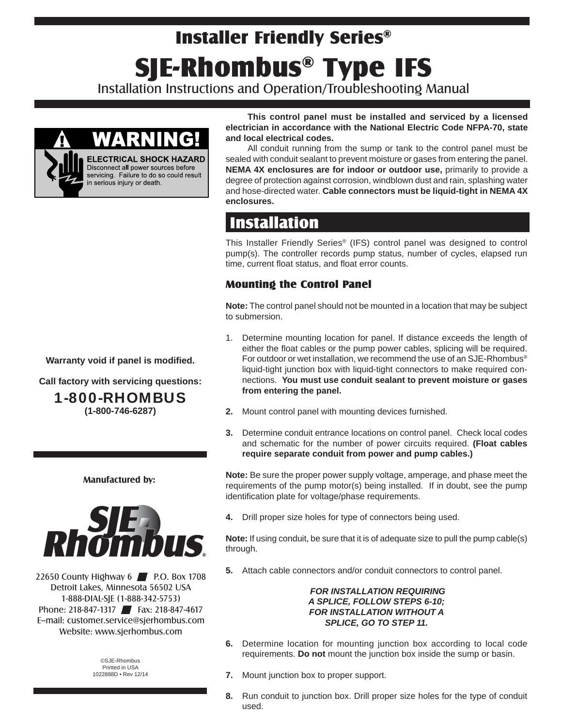# Installer Friendly Series® SJE-Rhombus® Type IFS

Installation Instructions and Operation/Troubleshooting Manual



**This control panel must be installed and serviced by a licensed electrician in accordance with the National Electric Code NFPA-70, state and local electrical codes.** 

All conduit running from the sump or tank to the control panel must be sealed with conduit sealant to prevent moisture or gases from entering the panel. **NEMA 4X enclosures are for indoor or outdoor use,** primarily to provide a degree of protection against corrosion, windblown dust and rain, splashing water and hose-directed water. **Cable connectors must be liquid-tight in NEMA 4X enclosures.**

# **Installation**

This Installer Friendly Series® (IFS) control panel was designed to control pump(s). The controller records pump status, number of cycles, elapsed run time, current float status, and float error counts.

### Mounting the Control Panel

**Note:** The control panel should not be mounted in a location that may be subject to submersion.

- 1. Determine mounting location for panel. If distance exceeds the length of either the float cables or the pump power cables, splicing will be required. For outdoor or wet installation, we recommend the use of an SJE-Rhombus<sup>®</sup> liquid-tight junction box with liquid-tight connectors to make required connections. **You must use conduit sealant to prevent moisture or gases from entering the panel.**
- **2.** Mount control panel with mounting devices furnished.
- **3.** Determine conduit entrance locations on control panel. Check local codes and schematic for the number of power circuits required. **(Float cables require separate conduit from power and pump cables.)**

**Note:** Be sure the proper power supply voltage, amperage, and phase meet the requirements of the pump motor(s) being installed. If in doubt, see the pump identification plate for voltage/phase requirements.

**4.** Drill proper size holes for type of connectors being used.

**Note:** If using conduit, be sure that it is of adequate size to pull the pump cable(s) through.

**5.** Attach cable connectors and/or conduit connectors to control panel.

#### *FOR INSTALLATION REQUIRING A SPLICE, FOLLOW STEPS 6-10; FOR INSTALLATION WITHOUT A SPLICE, GO TO STEP 11.*

- **6.** Determine location for mounting junction box according to local code requirements. **Do not** mount the junction box inside the sump or basin.
- **7.** Mount junction box to proper support.
- **8.** Run conduit to junction box. Drill proper size holes for the type of conduit used.

**Warranty void if panel is modified.** 

**Call factory with servicing questions:**

1-800-RHOMBUS

**(1-800-746-6287)**

#### **Manufactured by:**



22650 County Highway 6 **P.O. Box 1708** Detroit Lakes, Minnesota 56502 USA 1-888-DIAL-SJE (1-888-342-5753) Phone: 218-847-1317 Fax: 218-847-4617 E--mail: customer.service@sjerhombus.com Website: www.sjerhombus.com

> ©SJE-Rhombus Printed in USA 1022888D • Rev 12/14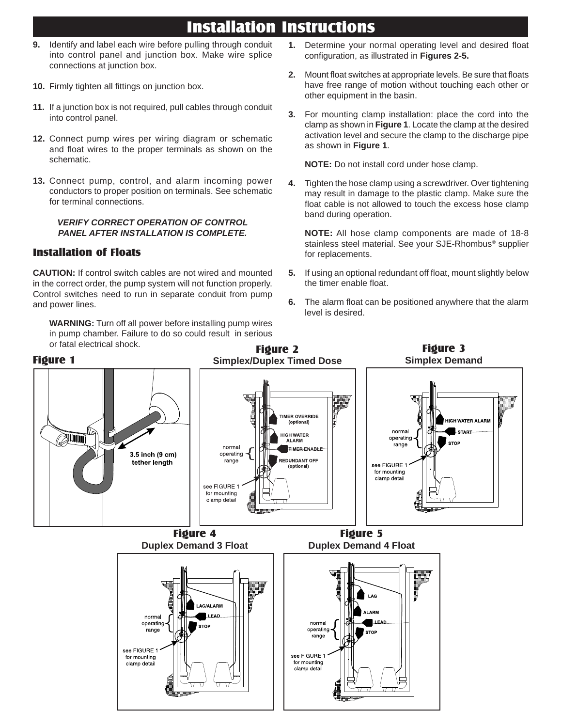## Installation Instructions

- **9.** Identify and label each wire before pulling through conduit into control panel and junction box. Make wire splice connections at junction box.
- **10.** Firmly tighten all fittings on junction box.
- **11.** If a junction box is not required, pull cables through conduit into control panel.
- **12.** Connect pump wires per wiring diagram or schematic and float wires to the proper terminals as shown on the schematic.
- **13.** Connect pump, control, and alarm incoming power conductors to proper position on terminals. See schematic for terminal connections.

#### *VERIFY CORRECT OPERATION OF CONTROL PANEL AFTER INSTALLATION IS COMPLETE.*

### Installation of Floats

**CAUTION:** If control switch cables are not wired and mounted in the correct order, the pump system will not function properly. Control switches need to run in separate conduit from pump and power lines.

**WARNING:** Turn off all power before installing pump wires in pump chamber. Failure to do so could result in serious

- 1. Determine your normal operating level and desired float configuration, as illustrated in Figures 2-5.
- **2.** Mount float switches at appropriate levels. Be sure that floats have free range of motion without touching each other or other equipment in the basin.
- **3.** For mounting clamp installation: place the cord into the clamp as shown in **Figure 1**. Locate the clamp at the desired activation level and secure the clamp to the discharge pipe as shown in **Figure 1**.

 **NOTE:** Do not install cord under hose clamp.

**4.** Tighten the hose clamp using a screwdriver. Over tightening may result in damage to the plastic clamp. Make sure the float cable is not allowed to touch the excess hose clamp band during operation.

**NOTE:** All hose clamp components are made of 18-8 stainless steel material. See your SJE-Rhombus® supplier for replacements.

- **5.** If using an optional redundant off float, mount slightly below the timer enable float.
- **6.** The alarm float can be positioned anywhere that the alarm level is desired.

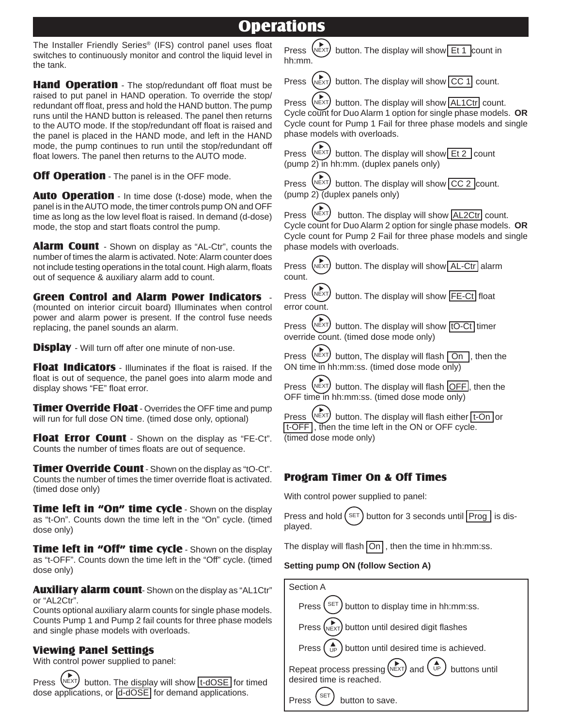### **Operations**

The Installer Friendly Series® (IFS) control panel uses float switches to continuously monitor and control the liquid level in the tank.

Hand Operation - The stop/redundant off float must be raised to put panel in HAND operation. To override the stop/ redundant off float, press and hold the HAND button. The pump runs until the HAND button is released. The panel then returns to the AUTO mode. If the stop/redundant off float is raised and the panel is placed in the HAND mode, and left in the HAND mode, the pump continues to run until the stop/redundant off float lowers. The panel then returns to the AUTO mode.

**Off Operation** - The panel is in the OFF mode.

Auto Operation - In time dose (t-dose) mode, when the panel is in the AUTO mode, the timer controls pump ON and OFF time as long as the low level float is raised. In demand (d-dose) mode, the stop and start floats control the pump.

**Alarm Count** - Shown on display as "AL-Ctr", counts the number of times the alarm is activated. Note: Alarm counter does not include testing operations in the total count. High alarm, floats out of sequence & auxiliary alarm add to count.

Green Control and Alarm Power Indicators - (mounted on interior circuit board) Illuminates when control power and alarm power is present. If the control fuse needs replacing, the panel sounds an alarm.

**Display** - Will turn off after one minute of non-use.

Float Indicators - Illuminates if the float is raised. If the float is out of sequence, the panel goes into alarm mode and display shows "FE" float error.

**Timer Override Float** - Overrides the OFF time and pump will run for full dose ON time. (timed dose only, optional)

Float Error Count - Shown on the display as "FE-Ct". Counts the number of times floats are out of sequence.

**Timer Override Count** - Shown on the display as "tO-Ct". Counts the number of times the timer override float is activated. (timed dose only)

**Time left in "On" time cycle - Shown on the display** as "t-On". Counts down the time left in the "On" cycle. (timed dose only)

**Time left in "Off" time cycle** - Shown on the display as "t-OFF". Counts down the time left in the "Off" cycle. (timed dose only)

Auxiliary alarm count-Shown on the display as "AL1Ctr" or "AL2Ctr".

Counts optional auxiliary alarm counts for single phase models. Counts Pump 1 and Pump 2 fail counts for three phase models and single phase models with overloads.

#### Viewing Panel Settings

With control power supplied to panel:

Press  $\sqrt{P(X|X)}$  button. The display will show  $t-dOSE$  for timed dose applications, or d-dOSE for demand applications.

NEXT Press  $(\nabla \times \mathbf{I})$  button. The display will show Et 1 count in hh:mm.



Press  $(\text{next})$  button. The display will show  $CC$  1 count.

Press  $(\text{NExT})$  button. The display will show  $|AL1Ctr|$  count. Cycle count for Duo Alarm 1 option for single phase models. **OR** Cycle count for Pump 1 Fail for three phase models and single phase models with overloads.

NEXT Press  $\left(\frac{NEXT}{N}\right)$  button. The display will show Et 2 count (pump 2) in hh:mm. (duplex panels only)

NEXT Press  $\left(\frac{NE}{Y}\right)$  button. The display will show  $CC$  2 count. (pump  $2)$  (duplex panels only)

Press (NEXT) button. The display will show  $AL2Ctr$  count. Cycle count for Duo Alarm 2 option for single phase models. **OR** Cycle count for Pump 2 Fail for three phase models and single phase models with overloads.

NEXT Press  $(\text{NEXT})$  button. The display will show AL-Ctr alarm count.

NEXT Press  $\sqrt{PEX}$  button. The display will show FE-Ct float error count.

NEXT Press  $\left(\text{Next}^{\text{P}}\right)$  button. The display will show  $\left| \text{tO-Ct} \right|$  timer override count. (timed dose mode only)

 $(\bigwedge_{N\in XT})$ Press  $\left(\frac{N}{2}X\right)$  button, The display will flash  $\boxed{On}$ , then the ON time in hh:mm:ss. (timed dose mode only)

Press  $(\text{Next})$  button. The display will flash  $\overline{OFF}$ , then the OFF time in hh:mm:ss. (timed dose mode only)

Press  $\sqrt{NEXT}$  button. The display will flash either | t-On | or t-OFF , then the time left in the ON or OFF cycle. (timed dose mode only)

### Program Timer On & Off Times

With control power supplied to panel:

Press and hold  $(\text{SET})$  button for 3 seconds until Prog | is displayed.

The display will flash  $\overline{On}$ , then the time in hh:mm:ss.

#### **Setting pump ON (follow Section A)**

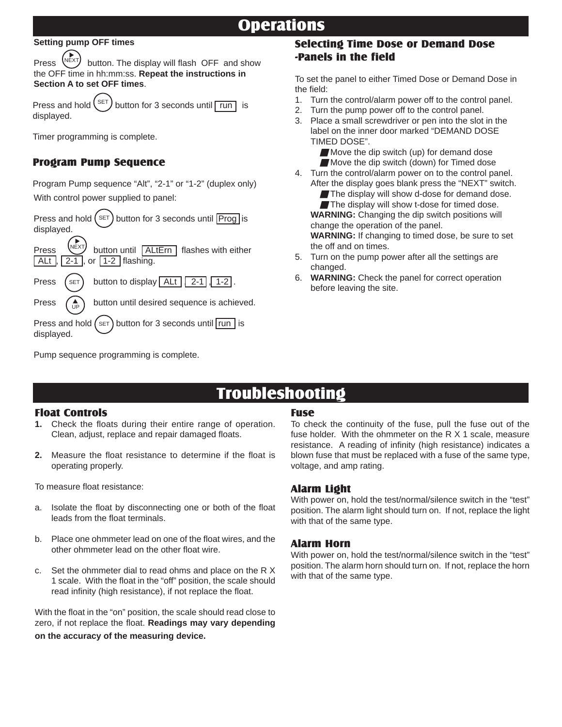# **Operations**

#### **Setting pump OFF times**

Press  $\sqrt{N_{\text{E}}}\times\sqrt{N_{\text{E}}}\times\sqrt{N_{\text{E}}}\times\sqrt{N_{\text{E}}}\times\sqrt{N_{\text{E}}}\times\sqrt{N_{\text{E}}}\times\sqrt{N_{\text{E}}}\times\sqrt{N_{\text{E}}}\times\sqrt{N_{\text{E}}}\times\sqrt{N_{\text{E}}}\times\sqrt{N_{\text{E}}}\times\sqrt{N_{\text{E}}}\times\sqrt{N_{\text{E}}}\times\sqrt{N_{\text{E}}}\times\sqrt{N_{\text{E}}}\times\sqrt{N_{\text{E}}}\times\sqrt{N_{\text{E}}}\times\sqrt{N_{\text{E}}$ the OFF time in hh:mm:ss. **Repeat the instructions in Section A to set OFF times**. NEXT

Press and hold  $\binom{SET}{}$  button for 3 seconds until  $\boxed{\text{run}}$  is displayed. SET

Timer programming is complete.

### Program Pump Sequence

Program Pump sequence "Alt", "2-1" or "1-2" (duplex only) With control power supplied to panel:

Press and hold  $(\lambda^{\text{SET}})$  button for 3 seconds until Prog is displayed.

Press  $\left[\begin{array}{cc} \text{NEXI} \\ \text{D} \end{array}\right]$  button until  $\left[\begin{array}{cc} \text{ALtErr} \\ \text{ALtErr} \end{array}\right]$  flashes with either  $\sqrt{\mathsf{ALt}}$ ,  $\sqrt{2-1}$ , or  $\sqrt{1-2}$  flashing. NEXT

Press  $(s_{ET})$  button to display  $\boxed{\text{Alt} \boxed{2-1}, 1-2}$ . **SET** 

Press  $\left(\begin{array}{c} A \\ AB \end{array}\right)$  button until desired sequence is achieved. UP

Press and hold  $(s_{ET})$  button for 3 seconds until  $\vert$  run  $\vert$  is displayed.

Pump sequence programming is complete.

### Selecting Time Dose or Demand Dose -Panels in the field

To set the panel to either Timed Dose or Demand Dose in the field:

- 1. Turn the control/alarm power off to the control panel.
- 2. Turn the pump power off to the control panel.
- 3. Place a small screwdriver or pen into the slot in the label on the inner door marked "DEMAND DOSE TIMED DOSE".

Move the dip switch (up) for demand dose Move the dip switch (down) for Timed dose

4. Turn the control/alarm power on to the control panel. After the display goes blank press the "NEXT" switch.

The display will show d-dose for demand dose. The display will show t-dose for timed dose.  **WARNING:** Changing the dip switch positions will change the operation of the panel.  **WARNING:** If changing to timed dose, be sure to set the off and on times.

- 5. Turn on the pump power after all the settings are changed.
- 6. **WARNING:** Check the panel for correct operation before leaving the site.

# **Troubleshooting**

#### Float Controls

- Check the floats during their entire range of operation. Clean, adjust, replace and repair damaged floats.
- **2.** Measure the float resistance to determine if the float is operating properly.

To measure float resistance:

- a. Isolate the float by disconnecting one or both of the float leads from the float terminals.
- b. Place one ohmmeter lead on one of the float wires, and the other ohmmeter lead on the other float wire.
- c. Set the ohmmeter dial to read ohms and place on the R X 1 scale. With the float in the "off" position, the scale should read infinity (high resistance), if not replace the float.

With the float in the "on" position, the scale should read close to zero, if not replace the float. **Readings may vary depending on the accuracy of the measuring device.**

#### Fuse

To check the continuity of the fuse, pull the fuse out of the fuse holder. With the ohmmeter on the R X 1 scale, measure resistance. A reading of infinity (high resistance) indicates a blown fuse that must be replaced with a fuse of the same type, voltage, and amp rating.

#### Alarm Light

With power on, hold the test/normal/silence switch in the "test" position. The alarm light should turn on. If not, replace the light with that of the same type.

#### Alarm Horn

With power on, hold the test/normal/silence switch in the "test" position. The alarm horn should turn on. If not, replace the horn with that of the same type.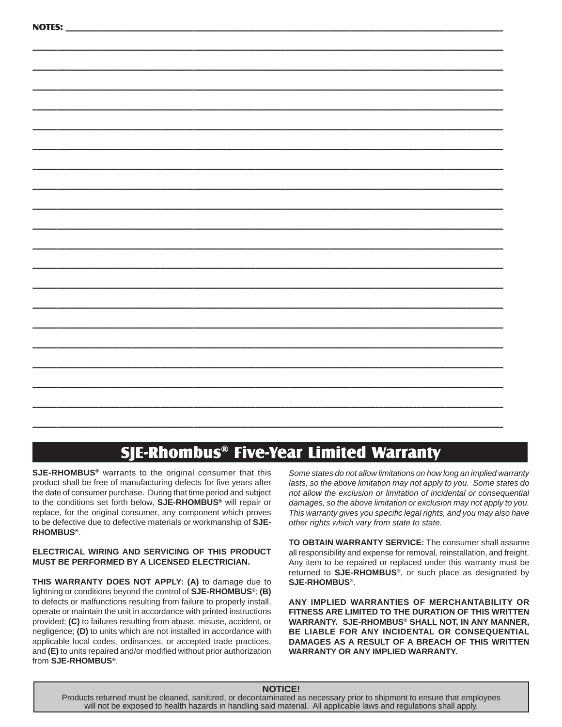\_\_\_\_\_\_\_\_\_\_\_\_\_\_\_\_\_\_\_\_\_\_\_\_\_\_\_\_\_\_\_\_\_\_\_\_\_\_\_\_\_\_\_\_\_\_\_\_\_\_\_\_\_\_\_\_\_\_\_\_\_\_\_\_\_\_\_\_\_\_\_\_\_\_\_\_\_\_\_\_\_\_\_\_\_\_\_\_\_\_\_\_\_\_\_\_\_\_\_\_\_\_\_\_\_\_\_\_\_\_\_\_\_\_

# SJE-Rhombus® Five-Year Limited Warranty

**SJE-RHOMBUS®** warrants to the original consumer that this product shall be free of manufacturing defects for five years after the date of consumer purchase. During that time period and subject to the conditions set forth below, **SJE-RHOMBUS®** will repair or replace, for the original consumer, any component which proves to be defective due to defective materials or workmanship of **SJE-RHOMBUS®**.

#### **ELECTRICAL WIRING AND SERVICING OF THIS PRODUCT MUST BE PERFORMED BY A LICENSED ELECTRICIAN.**

**THIS WARRANTY DOES NOT APPLY: (A)** to damage due to lightning or conditions beyond the control of **SJE-RHOMBUS®**; **(B)** to defects or malfunctions resulting from failure to properly install, operate or maintain the unit in accordance with printed instructions provided; **(C)** to failures resulting from abuse, misuse, accident, or negligence; **(D)** to units which are not installed in accordance with applicable local codes, ordinances, or accepted trade practices, and (E) to units repaired and/or modified without prior authorization from **SJE-RHOMBUS®**.

*Some states do not allow limitations on how long an implied warranty lasts, so the above limitation may not apply to you. Some states do not allow the exclusion or limitation of incidental or consequential damages, so the above limitation or exclusion may not apply to you. This warranty gives you specifi c legal rights, and you may also have other rights which vary from state to state.*

**TO OBTAIN WARRANTY SERVICE:** The consumer shall assume all responsibility and expense for removal, reinstallation, and freight. Any item to be repaired or replaced under this warranty must be returned to **SJE-RHOMBUS®**, or such place as designated by **SJE-RHOMBUS®**.

**ANY IMPLIED WARRANTIES OF MERCHANTABILITY OR FITNESS ARE LIMITED TO THE DURATION OF THIS WRITTEN WARRANTY. SJE-RHOMBUS® SHALL NOT, IN ANY MANNER, BE LIABLE FOR ANY INCIDENTAL OR CONSEQUENTIAL DAMAGES AS A RESULT OF A BREACH OF THIS WRITTEN WARRANTY OR ANY IMPLIED WARRANTY.**

#### **NOTICE!**

Products returned must be cleaned, sanitized, or decontaminated as necessary prior to shipment to ensure that employees will not be exposed to health hazards in handling said material. All applicable laws and regulations shall apply.